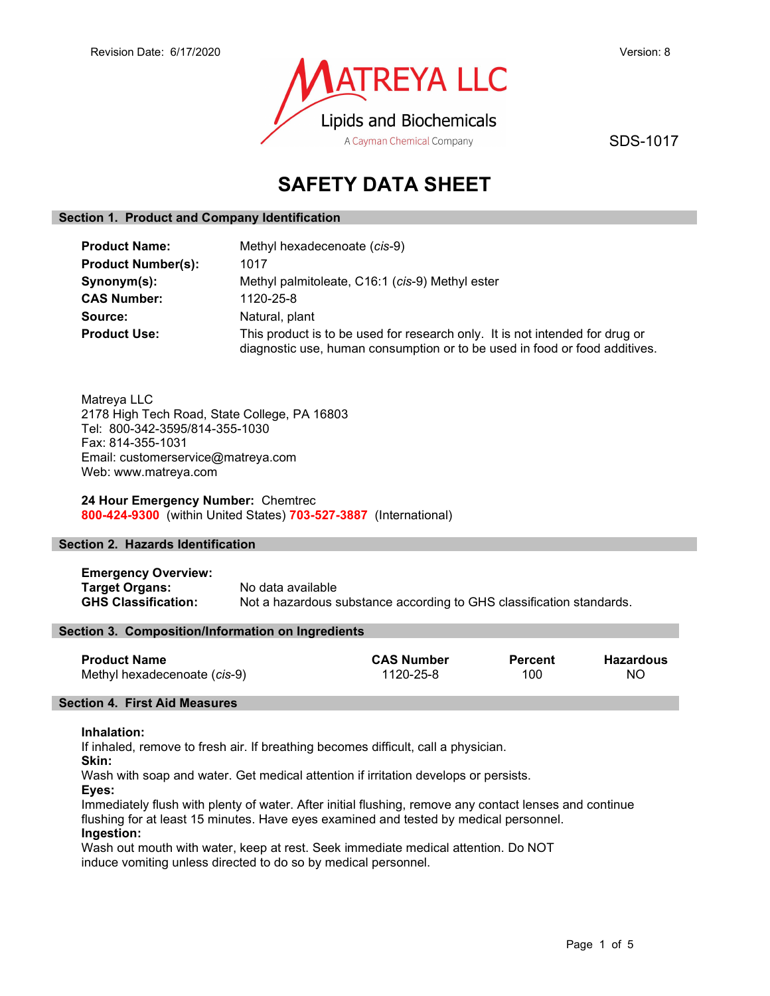

SDS-1017

# SAFETY DATA SHEET

## Section 1. Product and Company Identification

| <b>Product Name:</b>      | Methyl hexadecenoate (cis-9)                                                                                                                               |  |
|---------------------------|------------------------------------------------------------------------------------------------------------------------------------------------------------|--|
| <b>Product Number(s):</b> | 1017                                                                                                                                                       |  |
| Synonym(s):               | Methyl palmitoleate, C16:1 (cis-9) Methyl ester                                                                                                            |  |
| <b>CAS Number:</b>        | 1120-25-8                                                                                                                                                  |  |
| Source:                   | Natural, plant                                                                                                                                             |  |
| <b>Product Use:</b>       | This product is to be used for research only. It is not intended for drug or<br>diagnostic use, human consumption or to be used in food or food additives. |  |

Matreya LLC 2178 High Tech Road, State College, PA 16803 Tel: 800-342-3595/814-355-1030 Fax: 814-355-1031 Email: customerservice@matreya.com Web: www.matreya.com

## 24 Hour Emergency Number: Chemtrec 800-424-9300 (within United States) 703-527-3887 (International)

## Section 2. Hazards Identification

Emergency Overview: **Target Organs:** No data available<br> **GHS Classification:** Not a hazardous s Not a hazardous substance according to GHS classification standards.

## Section 3. Composition/Information on Ingredients

| <b>Product Name</b>          | <b>CAS Number</b> | <b>Percent</b> | Hazardous |
|------------------------------|-------------------|----------------|-----------|
| Methyl hexadecenoate (cis-9) | 1120-25-8         | 100            | NO.       |

## Section 4. First Aid Measures

## Inhalation:

If inhaled, remove to fresh air. If breathing becomes difficult, call a physician.

Skin:

Wash with soap and water. Get medical attention if irritation develops or persists.

Eyes:

Immediately flush with plenty of water. After initial flushing, remove any contact lenses and continue flushing for at least 15 minutes. Have eyes examined and tested by medical personnel. Ingestion:

Wash out mouth with water, keep at rest. Seek immediate medical attention. Do NOT induce vomiting unless directed to do so by medical personnel.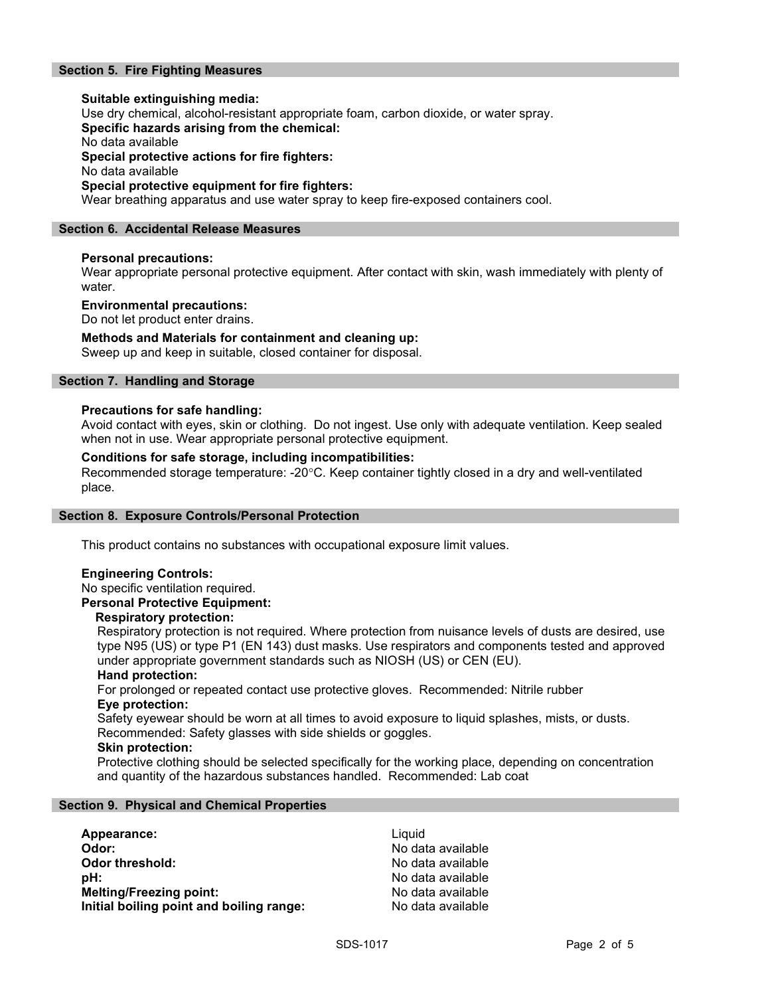## Section 5. Fire Fighting Measures

Suitable extinguishing media: Use dry chemical, alcohol-resistant appropriate foam, carbon dioxide, or water spray. Specific hazards arising from the chemical: No data available Special protective actions for fire fighters: No data available Special protective equipment for fire fighters: Wear breathing apparatus and use water spray to keep fire-exposed containers cool.

## Section 6. Accidental Release Measures

## Personal precautions:

Wear appropriate personal protective equipment. After contact with skin, wash immediately with plenty of water.

## Environmental precautions:

Do not let product enter drains.

## Methods and Materials for containment and cleaning up:

Sweep up and keep in suitable, closed container for disposal.

## Section 7. Handling and Storage

## Precautions for safe handling:

Avoid contact with eyes, skin or clothing. Do not ingest. Use only with adequate ventilation. Keep sealed when not in use. Wear appropriate personal protective equipment.

## Conditions for safe storage, including incompatibilities:

Recommended storage temperature: -20°C. Keep container tightly closed in a dry and well-ventilated place.

## Section 8. Exposure Controls/Personal Protection

This product contains no substances with occupational exposure limit values.

## Engineering Controls:

No specific ventilation required.

## Personal Protective Equipment:

## Respiratory protection:

Respiratory protection is not required. Where protection from nuisance levels of dusts are desired, use type N95 (US) or type P1 (EN 143) dust masks. Use respirators and components tested and approved under appropriate government standards such as NIOSH (US) or CEN (EU).

## Hand protection:

For prolonged or repeated contact use protective gloves. Recommended: Nitrile rubber Eye protection:

Safety eyewear should be worn at all times to avoid exposure to liquid splashes, mists, or dusts. Recommended: Safety glasses with side shields or goggles.

## Skin protection:

Protective clothing should be selected specifically for the working place, depending on concentration and quantity of the hazardous substances handled. Recommended: Lab coat

## Section 9. Physical and Chemical Properties

| Appearance:                              | Liauid            |
|------------------------------------------|-------------------|
| Odor:                                    | No data available |
| Odor threshold:                          | No data available |
| pH:                                      | No data available |
| <b>Melting/Freezing point:</b>           | No data available |
| Initial boiling point and boiling range: | No data available |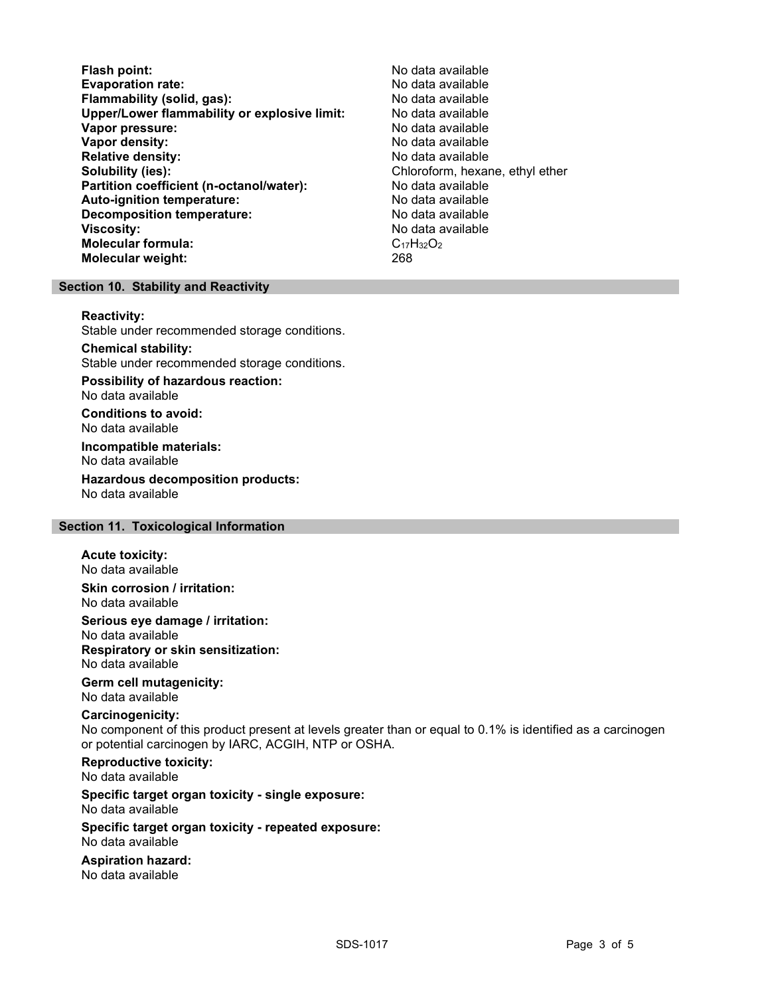Flash point:<br>
Evaporation rate: No data available<br>
No data available Evaporation rate:<br>
Flammability (solid. gas): No data available Flammability (solid, gas): Upper/Lower flammability or explosive limit: No data available Vapor pressure: No data available **Vapor density:** No data available in the set of the set of the No data available Relative density: No data available Solubility (ies): Chloroform, hexane, ethyl ether Partition coefficient (n-octanol/water): No data available Auto-ignition temperature: No data available Decomposition temperature: **Viscosity:** No data available and the set of the set of the set of the set of the set of the set of the set of the set of the set of the set of the set of the set of the set of the set of the set of the set of the set of Molecular formula:  $C_{17}H_{32}O_2$ <br>Molecular weight:  $268$ Molecular weight:

## Section 10. Stability and Reactivity

#### Reactivity:

Stable under recommended storage conditions.

Chemical stability: Stable under recommended storage conditions.

Possibility of hazardous reaction: No data available

Conditions to avoid: No data available

Incompatible materials: No data available

Hazardous decomposition products: No data available

## Section 11. Toxicological Information

## Acute toxicity:

No data available Skin corrosion / irritation:

No data available

Serious eye damage / irritation:

No data available Respiratory or skin sensitization: No data available

## Germ cell mutagenicity:

No data available

## Carcinogenicity:

No component of this product present at levels greater than or equal to 0.1% is identified as a carcinogen or potential carcinogen by IARC, ACGIH, NTP or OSHA.

Reproductive toxicity: No data available

Specific target organ toxicity - single exposure: No data available

## Specific target organ toxicity - repeated exposure: No data available

Aspiration hazard: No data available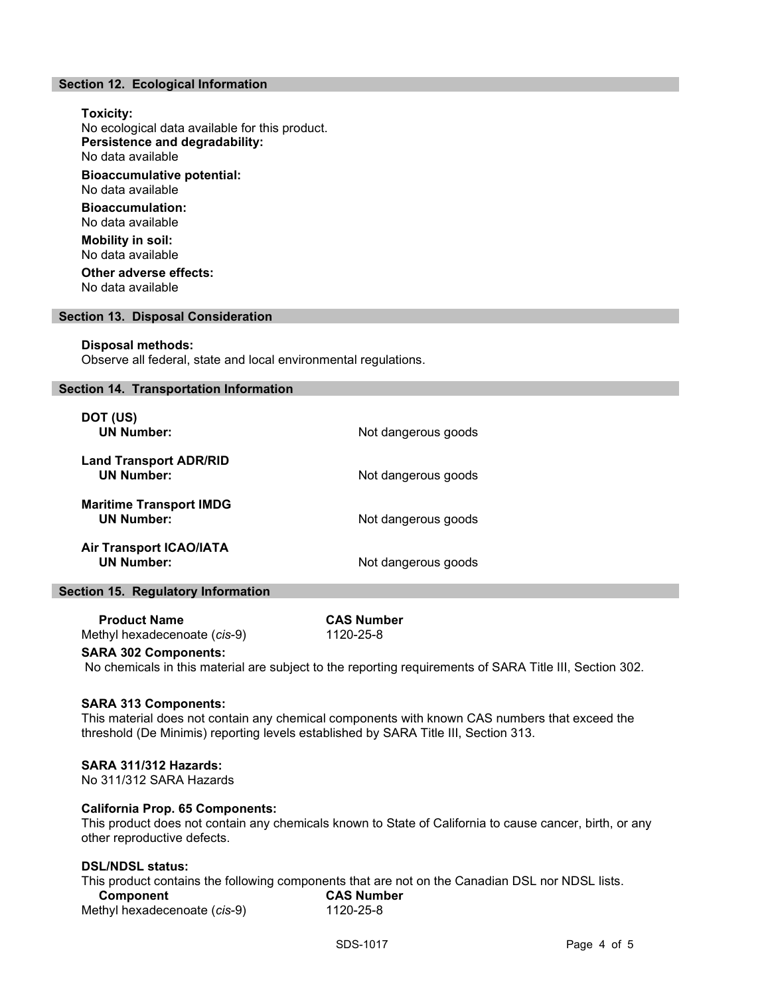## Section 12. Ecological Information

Toxicity: No ecological data available for this product. Persistence and degradability: No data available Bioaccumulative potential: No data available Bioaccumulation: No data available Mobility in soil: No data available Other adverse effects:

No data available

#### Section 13. Disposal Consideration

#### Disposal methods:

Observe all federal, state and local environmental regulations.

## Section 14. Transportation Information

| DOT (US)<br><b>UN Number:</b>                       | Not dangerous goods |
|-----------------------------------------------------|---------------------|
| <b>Land Transport ADR/RID</b><br><b>UN Number:</b>  | Not dangerous goods |
| <b>Maritime Transport IMDG</b><br><b>UN Number:</b> | Not dangerous goods |
| <b>Air Transport ICAO/IATA</b><br><b>UN Number:</b> | Not dangerous goods |

#### Section 15. Regulatory Information

Product Name CAS Number Methyl hexadecenoate (cis-9) 1120-25-8

#### SARA 302 Components:

No chemicals in this material are subject to the reporting requirements of SARA Title III, Section 302.

## SARA 313 Components:

This material does not contain any chemical components with known CAS numbers that exceed the threshold (De Minimis) reporting levels established by SARA Title III, Section 313.

## SARA 311/312 Hazards:

No 311/312 SARA Hazards

## California Prop. 65 Components:

This product does not contain any chemicals known to State of California to cause cancer, birth, or any other reproductive defects.

## DSL/NDSL status:

This product contains the following components that are not on the Canadian DSL nor NDSL lists. Component CAS Number Methyl hexadecenoate (cis-9) 1120-25-8